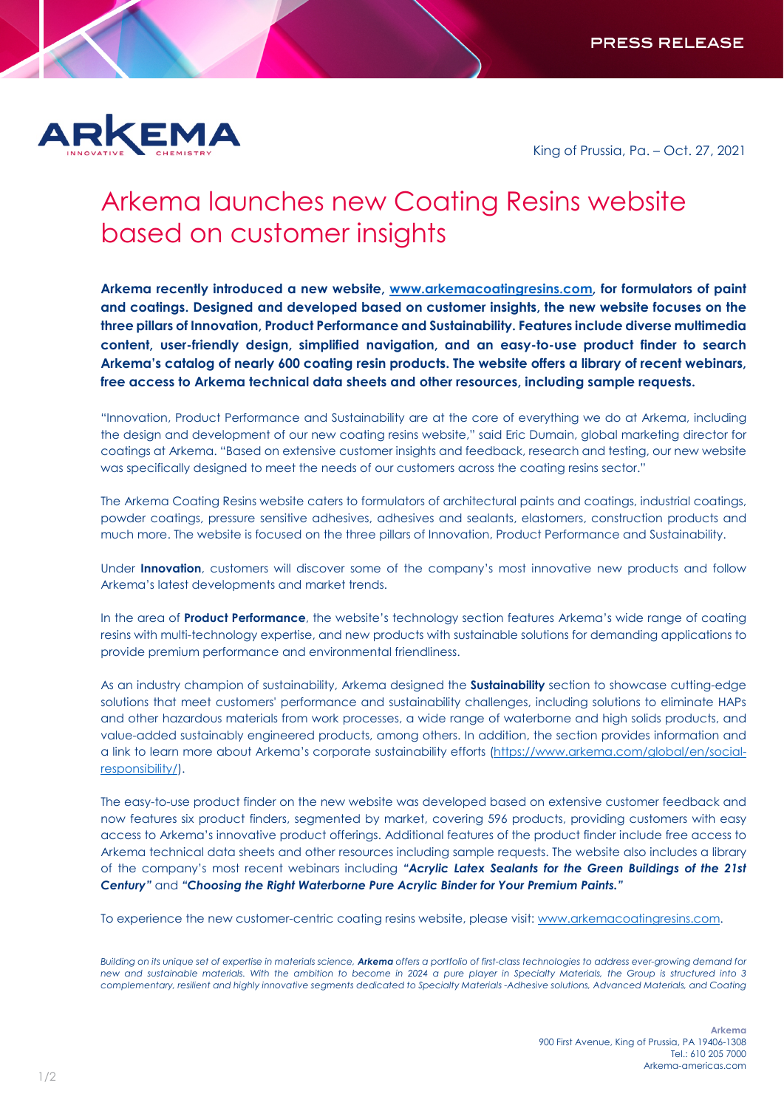

King of Prussia, Pa. – Oct. 27, 2021

## Arkema launches new Coating Resins website based on customer insights

**Arkema recently introduced a new website, [www.arkemacoatingresins.com,](http://www.arkemacoatingresins.com/) for formulators of paint and coatings. Designed and developed based on customer insights, the new website focuses on the three pillars of Innovation, Product Performance and Sustainability. Features include diverse multimedia content, user-friendly design, simplified navigation, and an easy-to-use product finder to search Arkema's catalog of nearly 600 coating resin products. The website offers a library of recent webinars, free access to Arkema technical data sheets and other resources, including sample requests.**

"Innovation, Product Performance and Sustainability are at the core of everything we do at Arkema, including the design and development of our new coating resins website," said Eric Dumain, global marketing director for coatings at Arkema. "Based on extensive customer insights and feedback, research and testing, our new website was specifically designed to meet the needs of our customers across the coating resins sector."

The Arkema Coating Resins website caters to formulators of architectural paints and coatings, industrial coatings, powder coatings, pressure sensitive adhesives, adhesives and sealants, elastomers, construction products and much more. The website is focused on the three pillars of Innovation, Product Performance and Sustainability.

Under **Innovation**, customers will discover some of the company's most innovative new products and follow Arkema's latest developments and market trends.

In the area of **Product Performance**, the website's technology section features Arkema's wide range of coating resins with multi-technology expertise, and new products with sustainable solutions for demanding applications to provide premium performance and environmental friendliness.

As an industry champion of sustainability, Arkema designed the **Sustainability** section to showcase cutting-edge solutions that meet customers' performance and sustainability challenges, including solutions to eliminate HAPs and other hazardous materials from work processes, a wide range of waterborne and high solids products, and value-added sustainably engineered products, among others. In addition, the section provides information and a link to learn more about Arkema's corporate sustainability efforts [\(https://www.arkema.com/global/en/social](https://www.arkema.com/global/en/social-responsibility/)[responsibility/\)](https://www.arkema.com/global/en/social-responsibility/).

The easy-to-use product finder on the new website was developed based on extensive customer feedback and now features six product finders, segmented by market, covering 596 products, providing customers with easy access to Arkema's innovative product offerings. Additional features of the product finder include free access to Arkema technical data sheets and other resources including sample requests. The website also includes a library of the company's most recent webinars including *"Acrylic Latex Sealants for the Green Buildings of the 21st Century"* and *"Choosing the Right Waterborne Pure Acrylic Binder for Your Premium Paints."*

To experience the new customer-centric coating resins website, please visit[: www.arkemacoatingresins.com.](http://www.arkemacoatingresins.com/)

*Building on its unique set of expertise in materials science, Arkema offers a portfolio of first-class technologies to address ever-growing demand for new and sustainable materials. With the ambition to become in 2024 a pure player in Specialty Materials, the Group is structured into 3 complementary, resilient and highly innovative segments dedicated to Specialty Materials -Adhesive solutions, Advanced Materials, and Coating*